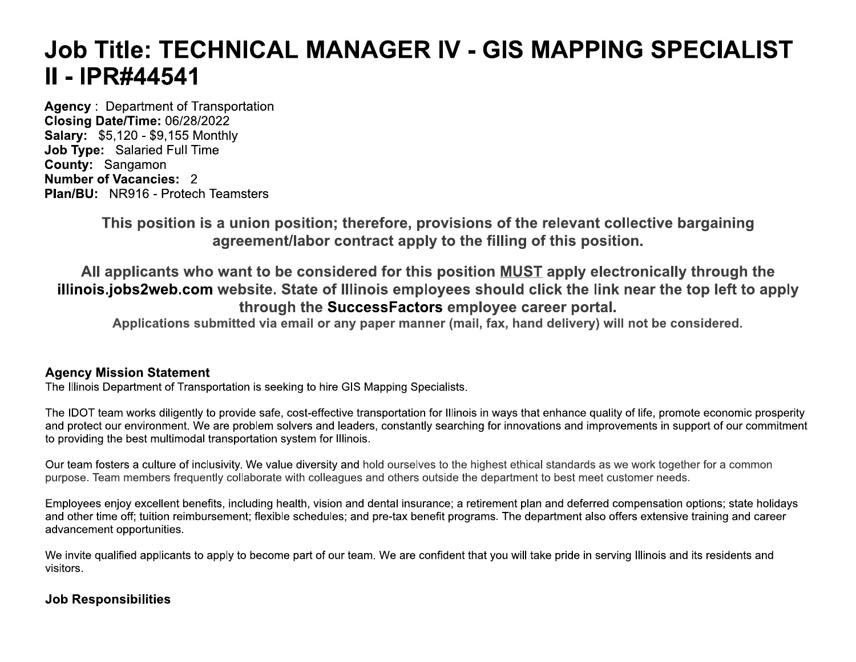# Job Title: TECHNICAL MANAGER IV - GIS MAPPING SPECIALIST II - IPR#44541

**Agency: Department of Transportation** Closing Date/Time: 06/28/2022 **Salary: \$5,120 - \$9,155 Monthly** Job Type: Salaried Full Time County: Sangamon **Number of Vacancies: 2 Plan/BU: NR916 - Protech Teamsters** 

> This position is a union position; therefore, provisions of the relevant collective bargaining agreement/labor contract apply to the filling of this position.

All applicants who want to be considered for this position MUST apply electronically through the illinois.jobs2web.com website. State of Illinois employees should click the link near the top left to apply through the SuccessFactors employee career portal.

Applications submitted via email or any paper manner (mail, fax, hand delivery) will not be considered.

# **Agency Mission Statement**

The Illinois Department of Transportation is seeking to hire GIS Mapping Specialists.

The IDOT team works diligently to provide safe, cost-effective transportation for Illinois in ways that enhance quality of life, promote economic prosperity and protect our environment. We are problem solvers and leaders, constantly searching for innovations and improvements in support of our commitment to providing the best multimodal transportation system for Illinois.

Our team fosters a culture of inclusivity. We value diversity and hold ourselves to the highest ethical standards as we work together for a common purpose. Team members frequently collaborate with colleagues and others outside the department to best meet customer needs.

Employees enjoy excellent benefits, including health, vision and dental insurance; a retirement plan and deferred compensation options; state holidays and other time off; tuition reimbursement; flexible schedules; and pre-tax benefit programs. The department also offers extensive training and career advancement opportunities.

We invite qualified applicants to apply to become part of our team. We are confident that you will take pride in serving Illinois and its residents and visitors.

# **Job Responsibilities**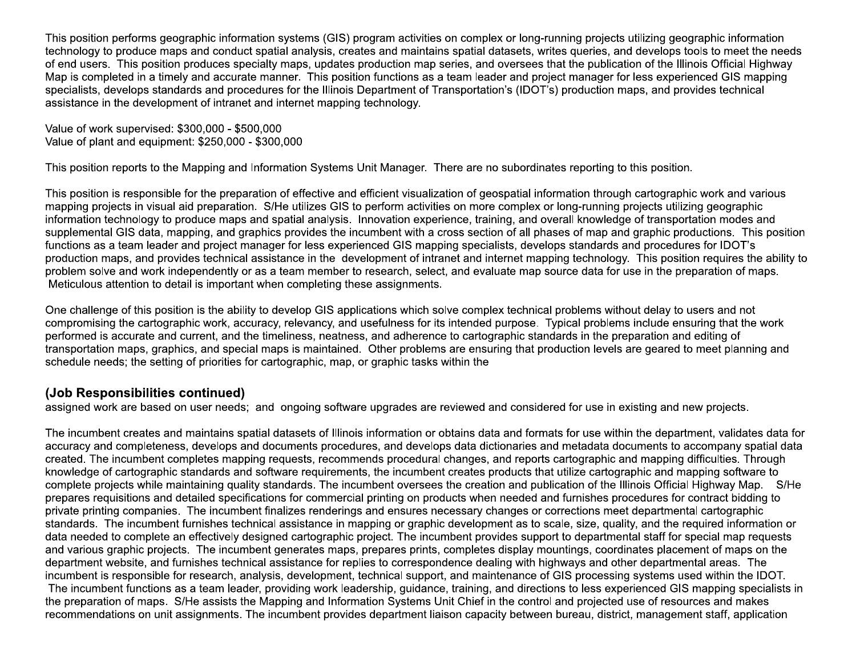This position performs geographic information systems (GIS) program activities on complex or long-running projects utilizing geographic information technology to produce maps and conduct spatial analysis, creates and maintains spatial datasets, writes queries, and develops tools to meet the needs of end users. This position produces specialty maps, updates production map series, and oversees that the publication of the Illinois Official Highway Map is completed in a timely and accurate manner. This position functions as a team leader and project manager for less experienced GIS mapping specialists, develops standards and procedures for the Illinois Department of Transportation's (IDOT's) production maps, and provides technical assistance in the development of intranet and internet mapping technology.

Value of work supervised: \$300,000 - \$500,000 Value of plant and equipment: \$250,000 - \$300,000

This position reports to the Mapping and Information Systems Unit Manager. There are no subordinates reporting to this position.

This position is responsible for the preparation of effective and efficient visualization of geospatial information through cartographic work and various mapping projects in visual aid preparation. S/He utilizes GIS to perform activities on more complex or long-running projects utilizing geographic information technology to produce maps and spatial analysis. Innovation experience, training, and overall knowledge of transportation modes and supplemental GIS data, mapping, and graphics provides the incumbent with a cross section of all phases of map and graphic productions. This position functions as a team leader and project manager for less experienced GIS mapping specialists, develops standards and procedures for IDOT's production maps, and provides technical assistance in the development of intranet and internet mapping technology. This position requires the ability to problem solve and work independently or as a team member to research, select, and evaluate map source data for use in the preparation of maps. Meticulous attention to detail is important when completing these assignments.

One challenge of this position is the ability to develop GIS applications which solve complex technical problems without delay to users and not compromising the cartographic work, accuracy, relevancy, and usefulness for its intended purpose. Typical problems include ensuring that the work performed is accurate and current, and the timeliness, neatness, and adherence to cartographic standards in the preparation and editing of transportation maps, graphics, and special maps is maintained. Other problems are ensuring that production levels are geared to meet planning and schedule needs; the setting of priorities for cartographic, map, or graphic tasks within the

# (Job Responsibilities continued)

assigned work are based on user needs; and ongoing software upgrades are reviewed and considered for use in existing and new projects.

The incumbent creates and maintains spatial datasets of Illinois information or obtains data and formats for use within the department, validates data for accuracy and completeness, develops and documents procedures, and develops data dictionaries and metadata documents to accompany spatial data created. The incumbent completes mapping requests, recommends procedural changes, and reports cartographic and mapping difficulties. Through knowledge of cartographic standards and software requirements, the incumbent creates products that utilize cartographic and mapping software to complete projects while maintaining quality standards. The incumbent oversees the creation and publication of the Illinois Official Highway Map. S/He prepares requisitions and detailed specifications for commercial printing on products when needed and furnishes procedures for contract bidding to private printing companies. The incumbent finalizes renderings and ensures necessary changes or corrections meet departmental cartographic standards. The incumbent furnishes technical assistance in mapping or graphic development as to scale, size, quality, and the required information or data needed to complete an effectively designed cartographic project. The incumbent provides support to departmental staff for special map requests and various graphic projects. The incumbent generates maps, prepares prints, completes display mountings, coordinates placement of maps on the department website, and furnishes technical assistance for replies to correspondence dealing with highways and other departmental areas. The incumbent is responsible for research, analysis, development, technical support, and maintenance of GIS processing systems used within the IDOT. The incumbent functions as a team leader, providing work leadership, guidance, training, and directions to less experienced GIS mapping specialists in the preparation of maps. S/He assists the Mapping and Information Systems Unit Chief in the control and projected use of resources and makes recommendations on unit assignments. The incumbent provides department liaison capacity between bureau, district, management staff, application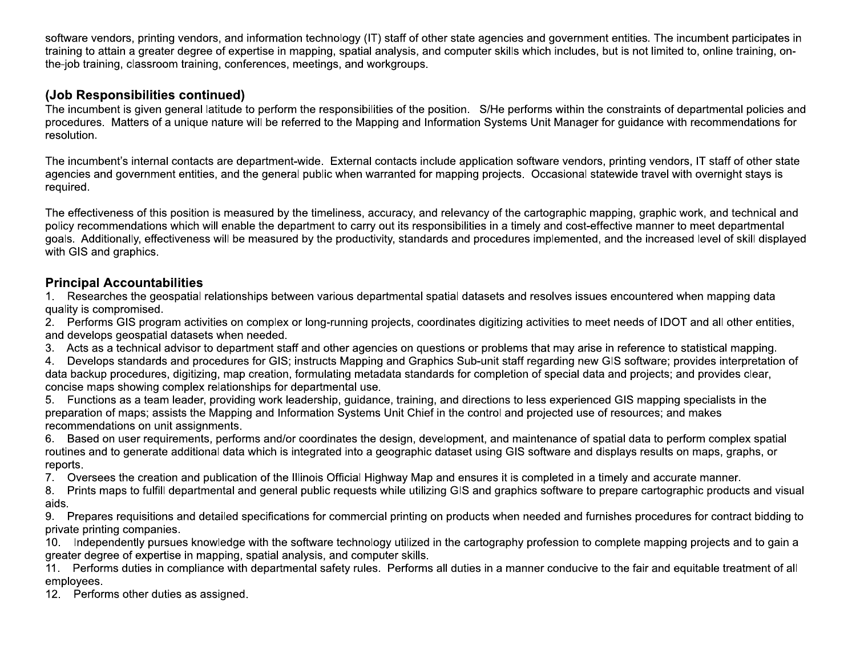software vendors, printing vendors, and information technology (IT) staff of other state agencies and government entities. The incumbent participates in training to attain a greater degree of expertise in mapping, spatial analysis, and computer skills which includes, but is not limited to, online training, onthe-job training, classroom training, conferences, meetings, and workgroups.

# (Job Responsibilities continued)

The incumbent is given general latitude to perform the responsibilities of the position. S/He performs within the constraints of departmental policies and procedures. Matters of a unique nature will be referred to the Mapping and Information Systems Unit Manager for quidance with recommendations for resolution.

The incumbent's internal contacts are department-wide. External contacts include application software vendors, printing vendors, IT staff of other state agencies and government entities, and the general public when warranted for mapping projects. Occasional statewide travel with overnight stays is required.

The effectiveness of this position is measured by the timeliness, accuracy, and relevancy of the cartographic mapping, graphic work, and technical and policy recommendations which will enable the department to carry out its responsibilities in a timely and cost-effective manner to meet departmental goals. Additionally, effectiveness will be measured by the productivity, standards and procedures implemented, and the increased level of skill displayed with GIS and graphics.

# **Principal Accountabilities**

1. Researches the geospatial relationships between various departmental spatial datasets and resolves issues encountered when mapping data quality is compromised.

2. Performs GIS program activities on complex or long-running projects, coordinates digitizing activities to meet needs of IDOT and all other entities, and develops geospatial datasets when needed.

3. Acts as a technical advisor to department staff and other agencies on questions or problems that may arise in reference to statistical mapping.

 $4.$ Develops standards and procedures for GIS; instructs Mapping and Graphics Sub-unit staff regarding new GIS software; provides interpretation of data backup procedures, digitizing, map creation, formulating metadata standards for completion of special data and projects; and provides clear, concise maps showing complex relationships for departmental use.

5. Functions as a team leader, providing work leadership, guidance, training, and directions to less experienced GIS mapping specialists in the preparation of maps; assists the Mapping and Information Systems Unit Chief in the control and projected use of resources; and makes recommendations on unit assignments.

6. Based on user requirements, performs and/or coordinates the design, development, and maintenance of spatial data to perform complex spatial routines and to generate additional data which is integrated into a geographic dataset using GIS software and displays results on maps, graphs, or reports.

7. Oversees the creation and publication of the Illinois Official Highway Map and ensures it is completed in a timely and accurate manner.

8. Prints maps to fulfill departmental and general public requests while utilizing GIS and graphics software to prepare cartographic products and visual aids.

9. Prepares requisitions and detailed specifications for commercial printing on products when needed and furnishes procedures for contract bidding to private printing companies.

10. Independently pursues knowledge with the software technology utilized in the cartography profession to complete mapping projects and to gain a greater degree of expertise in mapping, spatial analysis, and computer skills.

Performs duties in compliance with departmental safety rules. Performs all duties in a manner conducive to the fair and equitable treatment of all  $11.$ employees.

12. Performs other duties as assigned.